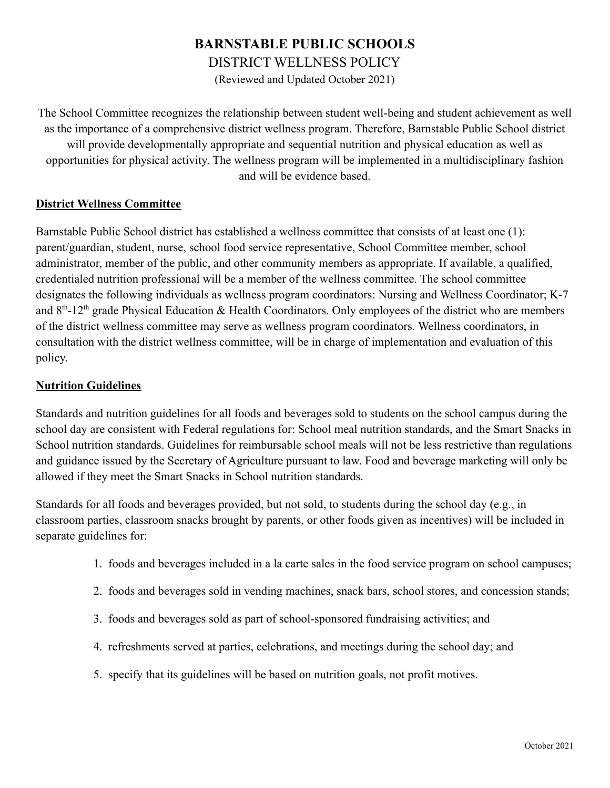# **BARNSTABLE PUBLIC SCHOOLS**

DISTRICT WELLNESS POLICY

(Reviewed and Updated October 2021)

The School Committee recognizes the relationship between student well-being and student achievement as well as the importance of a comprehensive district wellness program. Therefore, Barnstable Public School district will provide developmentally appropriate and sequential nutrition and physical education as well as opportunities for physical activity. The wellness program will be implemented in a multidisciplinary fashion and will be evidence based.

#### **District Wellness Committee**

Barnstable Public School district has established a wellness committee that consists of at least one (1): parent/guardian, student, nurse, school food service representative, School Committee member, school administrator, member of the public, and other community members as appropriate. If available, a qualified, credentialed nutrition professional will be a member of the wellness committee. The school committee designates the following individuals as wellness program coordinators: Nursing and Wellness Coordinator; K-7 and  $8<sup>th</sup>$ -12<sup>th</sup> grade Physical Education & Health Coordinators. Only employees of the district who are members of the district wellness committee may serve as wellness program coordinators. Wellness coordinators, in consultation with the district wellness committee, will be in charge of implementation and evaluation of this policy.

#### **Nutrition Guidelines**

Standards and nutrition guidelines for all foods and beverages sold to students on the school campus during the school day are consistent with Federal regulations for: School meal nutrition standards, and the Smart Snacks in School nutrition standards. Guidelines for reimbursable school meals will not be less restrictive than regulations and guidance issued by the Secretary of Agriculture pursuant to law. Food and beverage marketing will only be allowed if they meet the Smart Snacks in School nutrition standards.

Standards for all foods and beverages provided, but not sold, to students during the school day (e.g., in classroom parties, classroom snacks brought by parents, or other foods given as incentives) will be included in separate guidelines for:

- 1. foods and beverages included in a la carte sales in the food service program on school campuses;
- 2. foods and beverages sold in vending machines, snack bars, school stores, and concession stands;
- 3. foods and beverages sold as part of school-sponsored fundraising activities; and
- 4. refreshments served at parties, celebrations, and meetings during the school day; and
- 5. specify that its guidelines will be based on nutrition goals, not profit motives.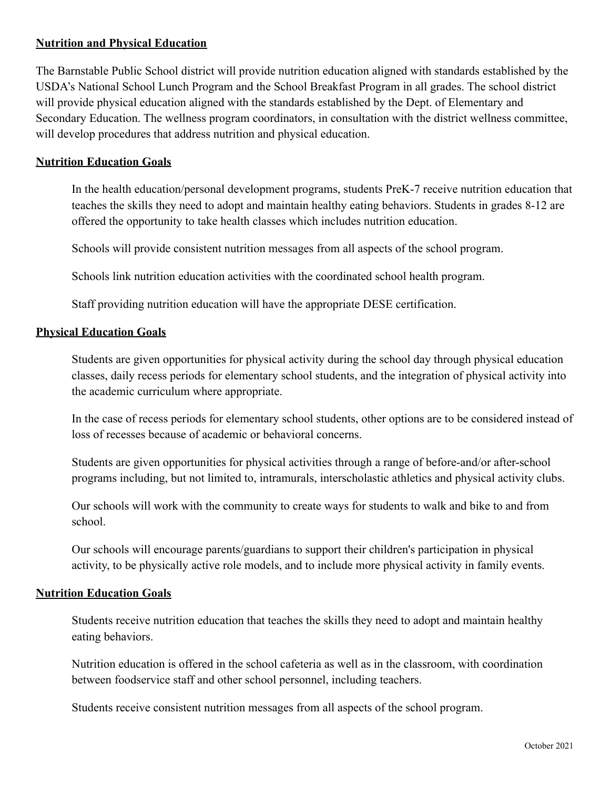## **Nutrition and Physical Education**

The Barnstable Public School district will provide nutrition education aligned with standards established by the USDA's National School Lunch Program and the School Breakfast Program in all grades. The school district will provide physical education aligned with the standards established by the Dept. of Elementary and Secondary Education. The wellness program coordinators, in consultation with the district wellness committee, will develop procedures that address nutrition and physical education.

## **Nutrition Education Goals**

In the health education/personal development programs, students PreK-7 receive nutrition education that teaches the skills they need to adopt and maintain healthy eating behaviors. Students in grades 8-12 are offered the opportunity to take health classes which includes nutrition education.

Schools will provide consistent nutrition messages from all aspects of the school program.

Schools link nutrition education activities with the coordinated school health program.

Staff providing nutrition education will have the appropriate DESE certification.

#### **Physical Education Goals**

Students are given opportunities for physical activity during the school day through physical education classes, daily recess periods for elementary school students, and the integration of physical activity into the academic curriculum where appropriate.

In the case of recess periods for elementary school students, other options are to be considered instead of loss of recesses because of academic or behavioral concerns.

Students are given opportunities for physical activities through a range of before-and/or after-school programs including, but not limited to, intramurals, interscholastic athletics and physical activity clubs.

Our schools will work with the community to create ways for students to walk and bike to and from school.

Our schools will encourage parents/guardians to support their children's participation in physical activity, to be physically active role models, and to include more physical activity in family events.

#### **Nutrition Education Goals**

Students receive nutrition education that teaches the skills they need to adopt and maintain healthy eating behaviors.

Nutrition education is offered in the school cafeteria as well as in the classroom, with coordination between foodservice staff and other school personnel, including teachers.

Students receive consistent nutrition messages from all aspects of the school program.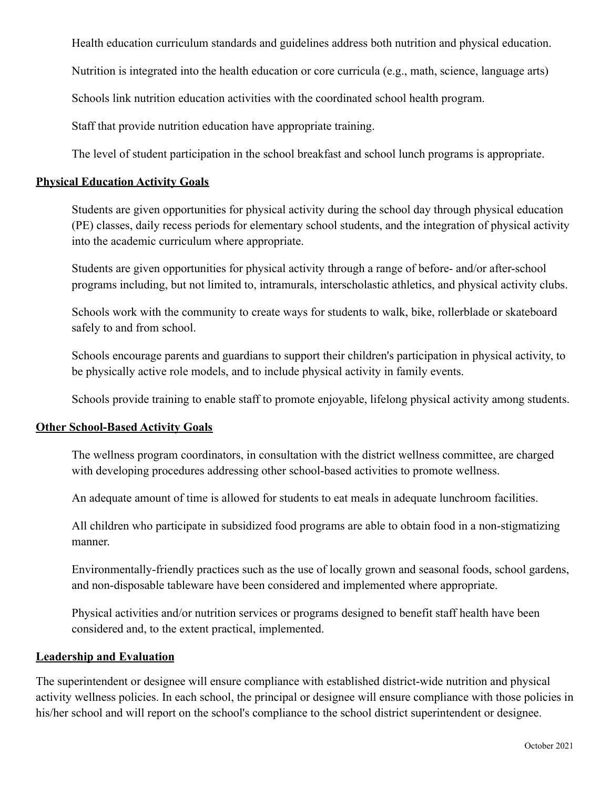Health education curriculum standards and guidelines address both nutrition and physical education.

Nutrition is integrated into the health education or core curricula (e.g., math, science, language arts)

Schools link nutrition education activities with the coordinated school health program.

Staff that provide nutrition education have appropriate training.

The level of student participation in the school breakfast and school lunch programs is appropriate.

#### **Physical Education Activity Goals**

Students are given opportunities for physical activity during the school day through physical education (PE) classes, daily recess periods for elementary school students, and the integration of physical activity into the academic curriculum where appropriate.

Students are given opportunities for physical activity through a range of before- and/or after-school programs including, but not limited to, intramurals, interscholastic athletics, and physical activity clubs.

Schools work with the community to create ways for students to walk, bike, rollerblade or skateboard safely to and from school.

Schools encourage parents and guardians to support their children's participation in physical activity, to be physically active role models, and to include physical activity in family events.

Schools provide training to enable staff to promote enjoyable, lifelong physical activity among students.

#### **Other School-Based Activity Goals**

The wellness program coordinators, in consultation with the district wellness committee, are charged with developing procedures addressing other school-based activities to promote wellness.

An adequate amount of time is allowed for students to eat meals in adequate lunchroom facilities.

All children who participate in subsidized food programs are able to obtain food in a non-stigmatizing manner.

Environmentally-friendly practices such as the use of locally grown and seasonal foods, school gardens, and non-disposable tableware have been considered and implemented where appropriate.

Physical activities and/or nutrition services or programs designed to benefit staff health have been considered and, to the extent practical, implemented.

## **Leadership and Evaluation**

The superintendent or designee will ensure compliance with established district-wide nutrition and physical activity wellness policies. In each school, the principal or designee will ensure compliance with those policies in his/her school and will report on the school's compliance to the school district superintendent or designee.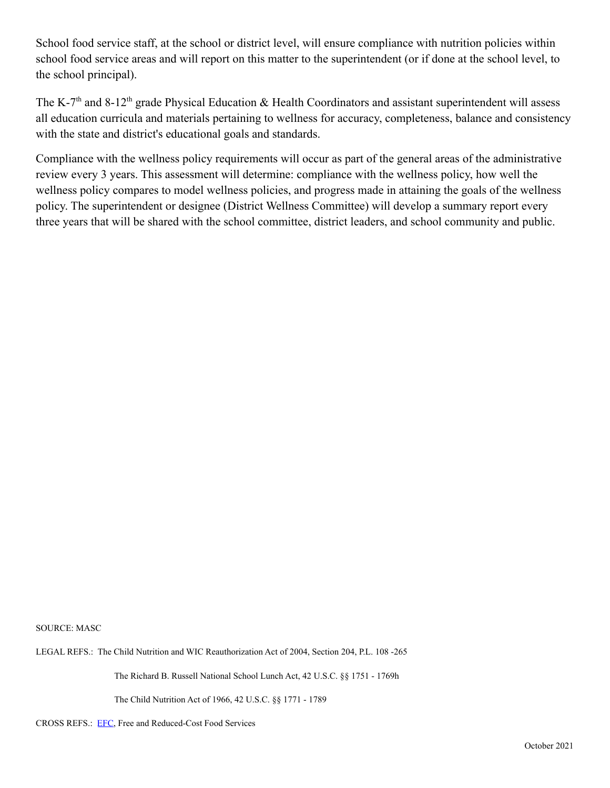School food service staff, at the school or district level, will ensure compliance with nutrition policies within school food service areas and will report on this matter to the superintendent (or if done at the school level, to the school principal).

The K-7<sup>th</sup> and 8-12<sup>th</sup> grade Physical Education & Health Coordinators and assistant superintendent will assess all education curricula and materials pertaining to wellness for accuracy, completeness, balance and consistency with the state and district's educational goals and standards.

Compliance with the wellness policy requirements will occur as part of the general areas of the administrative review every 3 years. This assessment will determine: compliance with the wellness policy, how well the wellness policy compares to model wellness policies, and progress made in attaining the goals of the wellness policy. The superintendent or designee (District Wellness Committee) will develop a summary report every three years that will be shared with the school committee, district leaders, and school community and public.

SOURCE: MASC

LEGAL REFS.: The Child Nutrition and WIC Reauthorization Act of 2004, Section 204, P.L. 108 -265

The Richard B. Russell National School Lunch Act, 42 U.S.C. §§ 1751 - 1769h

The Child Nutrition Act of 1966, 42 U.S.C. §§ 1771 - 1789

CROSS REFS.: [EFC](http://z2policy.ctspublish.com/masc/DocViewer.jsp?docid=114&z2collection=master#JD_EFC), Free and Reduced-Cost Food Services